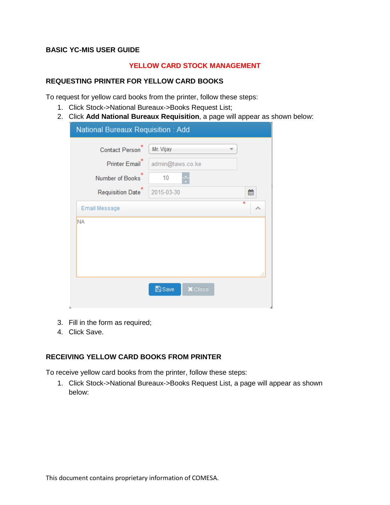### **BASIC YC-MIS USER GUIDE**

### **YELLOW CARD STOCK MANAGEMENT**

### **REQUESTING PRINTER FOR YELLOW CARD BOOKS**

To request for yellow card books from the printer, follow these steps:

- 1. Click Stock->National Bureaux->Books Request List;
- 2. Click **Add National Bureaux Requisition**, a page will appear as shown below:

| National Bureaux Requisition: Add                         |                                 |  |  |  |  |
|-----------------------------------------------------------|---------------------------------|--|--|--|--|
| Contact Person <sup>*</sup><br>Printer Email <sup>*</sup> | Mr. Vijay<br>admin@taws.co.ke   |  |  |  |  |
| Number of Books                                           | 10                              |  |  |  |  |
| Requisition Date <sup>®</sup>                             | 2015-03-30<br>雦                 |  |  |  |  |
| Email Message                                             | $\star$<br>ᄉ                    |  |  |  |  |
| <b>NA</b>                                                 |                                 |  |  |  |  |
|                                                           |                                 |  |  |  |  |
|                                                           |                                 |  |  |  |  |
|                                                           | ai                              |  |  |  |  |
|                                                           | <b>A</b> Save<br><b>X</b> Close |  |  |  |  |

- 3. Fill in the form as required;
- 4. Click Save.

### **RECEIVING YELLOW CARD BOOKS FROM PRINTER**

To receive yellow card books from the printer, follow these steps:

1. Click Stock->National Bureaux->Books Request List, a page will appear as shown below: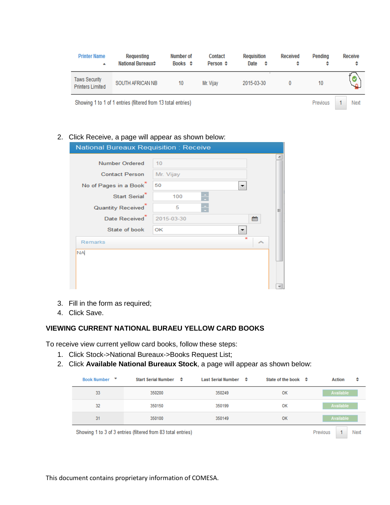| <b>Printer Name</b><br>▲                                     | Requesting<br><b>National Bureaux≑</b> | Number of<br>Books $\Leftrightarrow$ | Contact<br>Person $\div$ | <b>Requisition</b><br>Date<br>᠂ | <b>Received</b><br>٠ | Pendina<br>٠ | <b>Receive</b> |
|--------------------------------------------------------------|----------------------------------------|--------------------------------------|--------------------------|---------------------------------|----------------------|--------------|----------------|
| <b>Taws Security</b><br><b>Printers Limited</b>              | SOUTH AFRICAN NB                       | 10                                   | Mr. Vijav                | 2015-03-30                      |                      | 10           |                |
| Showing 1 to 1 of 1 entries (filtered from 13 total entries) |                                        |                                      |                          |                                 | Previous             | Next         |                |

### 2. Click Receive, a page will appear as shown below:

| <b>National Bureaux Requisition: Receive</b> |            |              |   |  |  |  |
|----------------------------------------------|------------|--------------|---|--|--|--|
|                                              |            |              |   |  |  |  |
| <b>Number Ordered</b>                        | 10         |              |   |  |  |  |
| <b>Contact Person</b>                        | Mr. Vijay  |              |   |  |  |  |
| No of Pages in a Book                        | 50         |              |   |  |  |  |
| Start Serial <sup>*</sup>                    | 100        |              |   |  |  |  |
| <b>Quantity Received</b>                     | 5          |              | ≡ |  |  |  |
| Date Received <sup>*</sup>                   | 2015-03-30 | 鱛            |   |  |  |  |
| State of book                                | OK         |              |   |  |  |  |
| <b>Remarks</b>                               |            | $\star$<br>́ |   |  |  |  |
| <b>NA</b>                                    |            |              |   |  |  |  |
|                                              |            |              |   |  |  |  |
|                                              |            |              |   |  |  |  |
|                                              |            |              |   |  |  |  |
|                                              |            |              |   |  |  |  |

- 3. Fill in the form as required;
- 4. Click Save.

### **VIEWING CURRENT NATIONAL BURAEU YELLOW CARD BOOKS**

To receive view current yellow card books, follow these steps:

- 1. Click Stock->National Bureaux->Books Request List;
- 2. Click **Available National Bureaux Stock**, a page will appear as shown below:

| <b>Book Number</b><br>$\mathbf{v}$ | Start Serial Number ≑                                        | <b>Last Serial Number</b><br>÷ | State of the book $\phi$ | ÷<br><b>Action</b> |
|------------------------------------|--------------------------------------------------------------|--------------------------------|--------------------------|--------------------|
| 33                                 | 350200                                                       | 350249                         | OK                       | Available          |
| 32                                 | 350150                                                       | 350199                         | OK                       | Available          |
| 31                                 | 350100                                                       | 350149                         | OК                       | Available          |
|                                    | Showing 1 to 3 of 3 entries (filtered from 83 total entries) |                                |                          | Previous<br>Next   |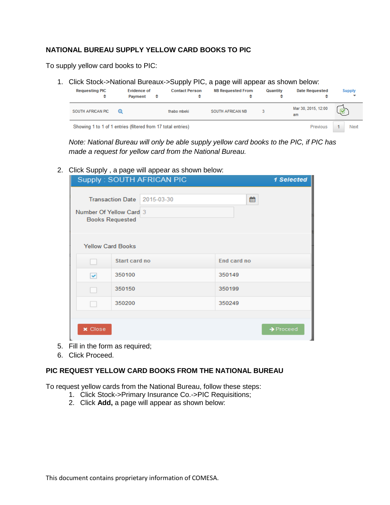# **NATIONAL BUREAU SUPPLY YELLOW CARD BOOKS TO PIC**

To supply yellow card books to PIC:

1. Click Stock->National Bureaux->Supply PIC, a page will appear as shown below:



*Note: National Bureau will only be able supply yellow card books to the PIC, if PIC has made a request for yellow card from the National Bureau.*

2. Click Supply , a page will appear as shown below:

|                                                   | Supply: SOUTH AFRICAN PIC   | 1 Selected            |
|---------------------------------------------------|-----------------------------|-----------------------|
| Number Of Yellow Card 3<br><b>Books Requested</b> | Transaction Date 2015-03-30 | 雦                     |
| <b>Yellow Card Books</b>                          |                             |                       |
|                                                   | Start card no               | End card no           |
| 350100<br>$\checkmark$                            |                             | 350149                |
| 350150                                            |                             | 350199                |
| 350200                                            |                             | 350249                |
|                                                   |                             |                       |
| <b>x</b> Close                                    |                             | $\rightarrow$ Proceed |

- 5. Fill in the form as required;
- 6. Click Proceed.

### **PIC REQUEST YELLOW CARD BOOKS FROM THE NATIONAL BUREAU**

To request yellow cards from the National Bureau, follow these steps:

- 1. Click Stock->Primary Insurance Co.->PIC Requisitions;
- 2. Click **Add,** a page will appear as shown below: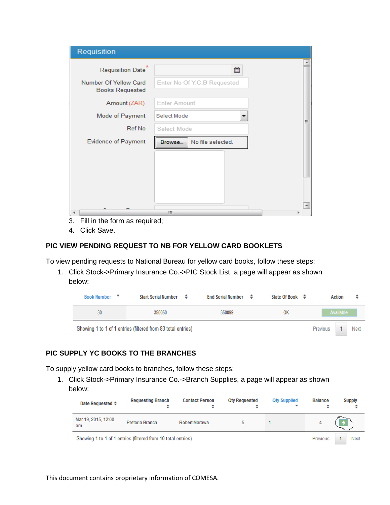| Requisition                                     |                             |
|-------------------------------------------------|-----------------------------|
| Requisition Date                                | è<br>雦                      |
| Number Of Yellow Card<br><b>Books Requested</b> | Enter No Of Y.C.B Requested |
| Amount (ZAR)                                    | <b>Enter Amount</b>         |
| Mode of Payment                                 | Select Mode<br>▼<br>Ξ       |
| Ref No                                          | Select Mode                 |
| <b>Evidence of Payment</b>                      | No file selected.<br>Browse |
|                                                 |                             |
|                                                 |                             |
|                                                 |                             |
|                                                 | ۰                           |
|                                                 | m.                          |
| 3.<br>Fill in the form as required;             |                             |

4. Click Save.

## **PIC VIEW PENDING REQUEST TO NB FOR YELLOW CARD BOOKLETS**

To view pending requests to National Bureau for yellow card books, follow these steps:

1. Click Stock->Primary Insurance Co.->PIC Stock List, a page will appear as shown below:

| <b>Book Number</b><br>▼ | Start Serial Number ≑                                        | End Serial Number $\div$ | State Of Book $\div$ | Action<br>٠      |
|-------------------------|--------------------------------------------------------------|--------------------------|----------------------|------------------|
| 30                      | 350050                                                       | 350099                   | <b>OK</b>            | Available        |
|                         | Showing 1 to 1 of 1 entries (filtered from 83 total entries) |                          |                      | Next<br>Previous |

### **PIC SUPPLY YC BOOKS TO THE BRANCHES**

To supply yellow card books to branches, follow these steps:

1. Click Stock->Primary Insurance Co.->Branch Supplies, a page will appear as shown below:

| Date Requested ♦                                             | <b>Requesting Branch</b><br>٠ | <b>Contact Person</b> | <b>Qty Requested</b><br>٠ | <b>Qty Supplied</b> | <b>Balance</b> | <b>Supply</b> |
|--------------------------------------------------------------|-------------------------------|-----------------------|---------------------------|---------------------|----------------|---------------|
| Mar 19, 2015, 12:00<br>am                                    | Pretoria Branch               | Robert Marawa         | 5.                        |                     |                |               |
| Showing 1 to 1 of 1 entries (filtered from 10 total entries) |                               |                       |                           |                     |                | Next          |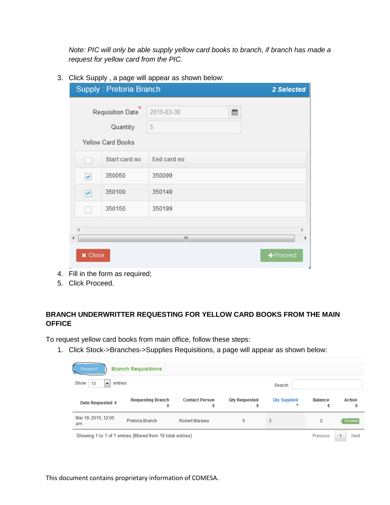*Note: PIC will only be able supply yellow card books to branch, if branch has made a request for yellow card from the PIC.*

3. Click Supply , a page will appear as shown below:

|                | $\ast$<br>Requisition Date | 2015-03-30  | 雦 |                       |
|----------------|----------------------------|-------------|---|-----------------------|
|                |                            |             |   |                       |
|                | Quantity                   | 5           |   |                       |
|                | <b>Yellow Card Books</b>   |             |   |                       |
|                | Start card no              | End card no |   |                       |
| v              | 350050                     | 350099      |   |                       |
| Y              | 350100                     | 350149      |   |                       |
|                | 350150                     | 350199      |   |                       |
|                |                            |             |   |                       |
|                |                            | m,          |   |                       |
| <b>x</b> Close |                            |             |   | $\rightarrow$ Proceed |

5. Click Proceed.

# **BRANCH UNDERWRITTER REQUESTING FOR YELLOW CARD BOOKS FROM THE MAIN OFFICE**

To request yellow card books from main office, follow these steps:

1. Click Stock->Branches->Supplies Requisitions, a page will appear as shown below:

| Request                     | <b>Branch Requisitions</b>                                   |                            |                           |                     |                     |                    |
|-----------------------------|--------------------------------------------------------------|----------------------------|---------------------------|---------------------|---------------------|--------------------|
| entries<br>Show<br>10<br>۰. |                                                              |                            |                           | Search:             |                     |                    |
| Date Requested ≑            | <b>Requesting Branch</b><br>٠                                | <b>Contact Person</b><br>÷ | <b>Qty Requested</b><br>٠ | <b>Qty Supplied</b> | <b>Balance</b><br>÷ | <b>Action</b><br>÷ |
| Mar 19, 2015, 12:00<br>am   | Pretoria Branch                                              | Robert Marawa              | 5                         | 3                   | $\overline{2}$      | Success            |
|                             | Showing 1 to 1 of 1 entries (filtered from 10 total entries) |                            |                           |                     | Previous            | Next               |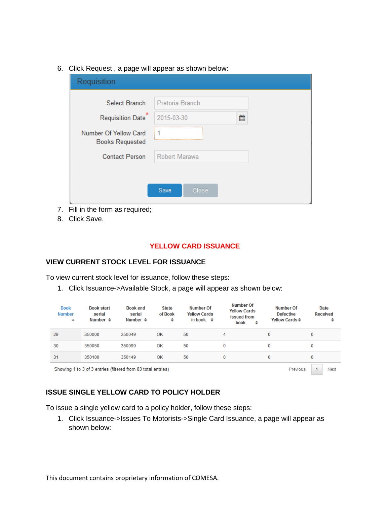6. Click Request , a page will appear as shown below:

| Requisition                                     |                 |  |
|-------------------------------------------------|-----------------|--|
| <b>Select Branch</b>                            | Pretoria Branch |  |
| Requisition Date <sup>®</sup>                   | 2015-03-30<br>巤 |  |
| Number Of Yellow Card<br><b>Books Requested</b> | 1               |  |
| <b>Contact Person</b>                           | Robert Marawa   |  |
|                                                 |                 |  |
|                                                 | Save<br>Close   |  |
|                                                 |                 |  |

- 7. Fill in the form as required;
- 8. Click Save.

### **YELLOW CARD ISSUANCE**

### **VIEW CURRENT STOCK LEVEL FOR ISSUANCE**

To view current stock level for issuance, follow these steps:

1. Click Issuance->Available Stock, a page will appear as shown below:

| <b>Book</b><br><b>Number</b><br>▲ | <b>Book start</b><br>serial<br>Number $\triangleq$           | <b>Book end</b><br>serial<br>Number $\triangleq$ | <b>State</b><br>of Book<br>÷ | <b>Number Of</b><br><b>Yellow Cards</b><br>in book $\div$ | <b>Number Of</b><br><b>Yellow Cards</b><br>issued from<br>book<br>÷ | <b>Number Of</b><br><b>Defective</b><br>Yellow Cards $\Leftrightarrow$ | Date<br><b>Received</b><br>÷ |
|-----------------------------------|--------------------------------------------------------------|--------------------------------------------------|------------------------------|-----------------------------------------------------------|---------------------------------------------------------------------|------------------------------------------------------------------------|------------------------------|
| 29                                | 350000                                                       | 350049                                           | OK                           | 50                                                        | 4                                                                   | 0                                                                      | 0                            |
| 30                                | 350050                                                       | 350099                                           | OK                           | 50                                                        | $\bf{0}$                                                            | 0                                                                      | 0                            |
| 31                                | 350100                                                       | 350149                                           | OK                           | 50                                                        | $\bf{0}$                                                            | 0                                                                      | 0                            |
|                                   | Showing 1 to 3 of 3 entries (filtered from 83 total entries) |                                                  |                              |                                                           |                                                                     | Previous                                                               | Next                         |

# **ISSUE SINGLE YELLOW CARD TO POLICY HOLDER**

To issue a single yellow card to a policy holder, follow these steps:

1. Click Issuance->Issues To Motorists->Single Card Issuance, a page will appear as shown below: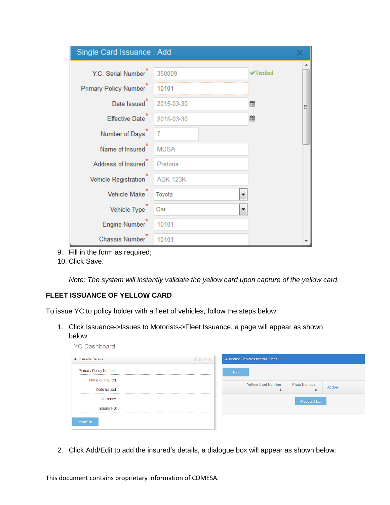| Single Card Issuance: Add       |                 |                  |  |
|---------------------------------|-----------------|------------------|--|
| Y.C. Serial Number              | 350009          | <b>√Verified</b> |  |
| Primary Policy Number           | 10101           |                  |  |
| Date Issued <sup>*</sup>        | 2015-03-30      | ▦<br>Ξ           |  |
| Effective Date <sup>"</sup>     | 2015-03-30      | 雦                |  |
| Number of Days <sup>"</sup>     | 7               |                  |  |
| Name of Insured                 | <b>MUSA</b>     |                  |  |
| Address of Insured <sup>*</sup> | Pretoria        |                  |  |
| <b>Vehicle Registration</b>     | <b>ABK 123K</b> |                  |  |
| Vehicle Make                    | Toyota          |                  |  |
| Vehicle Type                    | Car             |                  |  |
| Engine Number                   | 10101           |                  |  |
| <b>Chassis Number</b>           | 10101           |                  |  |

- 9. Fill in the form as required;
- 10. Click Save.

*Note: The system will instantly validate the yellow card upon capture of the yellow card.*

# **FLEET ISSUANCE OF YELLOW CARD**

**YC Dashboard** 

To issue YC to policy holder with a fleet of vehicles, follow the steps below:

1. Click Issuance->Issues to Motorists->Fleet Issuance, a page will appear as shown below:

| ♦ Insureds Details     | OCAN |     | Allocated Vehicles for this Fleet |                      |        |
|------------------------|------|-----|-----------------------------------|----------------------|--------|
| Primary Policy Number: |      | Add |                                   |                      |        |
| Name of Insured:       |      |     | <b>Yellow Card Number</b>         | <b>Plate Number</b>  |        |
| Date Issued:           |      |     | ٠                                 | ÷                    | Action |
| Currency:              |      |     |                                   | <b>Process Fleet</b> |        |
| Issuing NB:            |      |     |                                   |                      |        |
| Add/Edit               |      |     |                                   |                      |        |

2. Click Add/Edit to add the insured's details, a dialogue box will appear as shown below:

This document contains proprietary information of COMESA.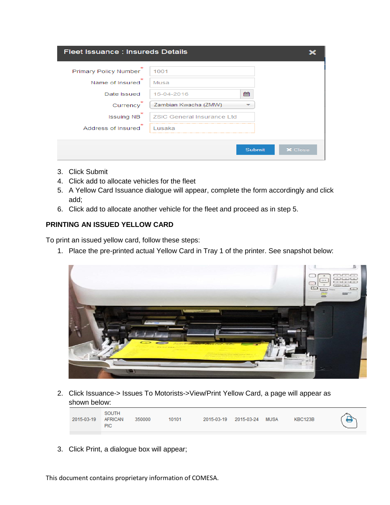| Fleet Issuance : Insureds Details        |                                    |               |                |  |  |
|------------------------------------------|------------------------------------|---------------|----------------|--|--|
| Primary Policy Number<br>Name of Insured | 1001<br>Musa                       |               |                |  |  |
| Date Issued<br>Currency                  | 15-04-2016<br>Zambian Kwacha (ZMW) | 鱛             |                |  |  |
| <b>Issuing NB</b>                        | <b>ZSIC General Insurance Ltd</b>  |               |                |  |  |
| $\star$<br>Address of Insured            | Lusaka                             |               |                |  |  |
|                                          |                                    | <b>Submit</b> | <b>X</b> Close |  |  |

- 3. Click Submit
- 4. Click add to allocate vehicles for the fleet
- 5. A Yellow Card Issuance dialogue will appear, complete the form accordingly and click add;
- 6. Click add to allocate another vehicle for the fleet and proceed as in step 5.

# **PRINTING AN ISSUED YELLOW CARD**

To print an issued yellow card, follow these steps:

1. Place the pre-printed actual Yellow Card in Tray 1 of the printer. See snapshot below:



2. Click Issuance-> Issues To Motorists->View/Print Yellow Card, a page will appear as shown below:

| 2015-03-19 | SOUTH<br>350000<br><b>AFRICAN</b><br><b>PIC</b> | 10101 | 2015-03-19 | 2015-03-24 | <b>MUSA</b> | KBC123B |  |
|------------|-------------------------------------------------|-------|------------|------------|-------------|---------|--|
|------------|-------------------------------------------------|-------|------------|------------|-------------|---------|--|

3. Click Print, a dialogue box will appear;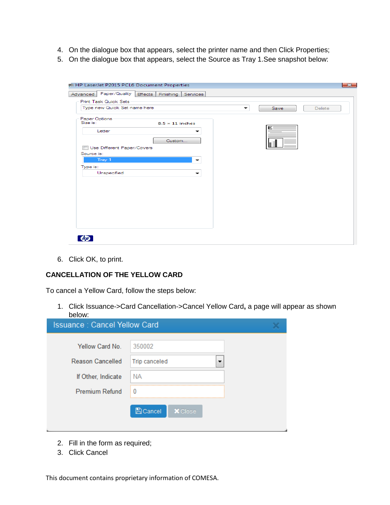- 4. On the dialogue box that appears, select the printer name and then Click Properties;
- 5. On the dialogue box that appears, select the Source as Tray 1.See snapshot below:

| Paper/Quality<br>Effects Finishing<br>Advanced | Services                 |           |        |
|------------------------------------------------|--------------------------|-----------|--------|
| <b>Print Task Quick Sets</b>                   |                          |           |        |
| Type new Quick Set name here                   |                          | Save<br>▼ | Delete |
| Paper Options                                  |                          |           |        |
| Size is:<br>$8.5 \times 11$ inches             |                          |           |        |
| Letter                                         | -                        | Е         |        |
| Custom                                         |                          |           |        |
| Use Different Paper/Covers                     |                          |           |        |
| Source is:                                     |                          |           |        |
| Tray 1                                         | $\overline{\phantom{0}}$ |           |        |
|                                                |                          |           |        |
| Type is:                                       |                          |           |        |
| Unspecified                                    | ↽                        |           |        |
|                                                |                          |           |        |
|                                                |                          |           |        |
|                                                |                          |           |        |
|                                                |                          |           |        |
|                                                |                          |           |        |
|                                                |                          |           |        |
|                                                |                          |           |        |
|                                                |                          |           |        |
|                                                |                          |           |        |

6. Click OK, to print.

#### **CANCELLATION OF THE YELLOW CARD**

To cancel a Yellow Card, follow the steps below:

1. Click Issuance->Card Cancellation->Cancel Yellow Card**,** a page will appear as shown below:

| <b>Issuance: Cancel Yellow Card</b> |                                   |  |  |  |
|-------------------------------------|-----------------------------------|--|--|--|
| Yellow Card No.                     | 350002                            |  |  |  |
| <b>Reason Cancelled</b>             | <b>Trip canceled</b>              |  |  |  |
| If Other, Indicate                  | NА                                |  |  |  |
| <b>Premium Refund</b>               | 0                                 |  |  |  |
|                                     | <b>A</b> Cancel<br><b>X</b> Close |  |  |  |

- 2. Fill in the form as required;
- 3. Click Cancel

This document contains proprietary information of COMESA.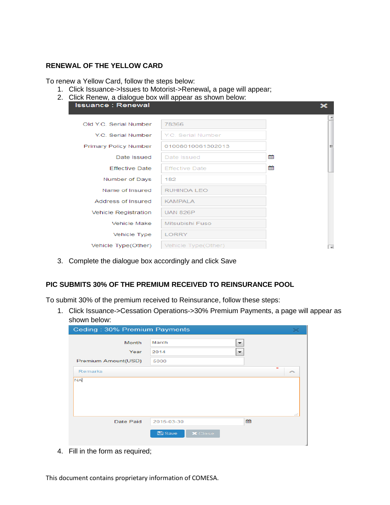### **RENEWAL OF THE YELLOW CARD**

To renew a Yellow Card, follow the steps below:

- 1. Click Issuance->Issues to Motorist->Renewal**,** a page will appear;
- 2. Click Renew, a dialogue box will appear as shown below:

| <b>Issuance: Renewal</b> | $  -$                 |   |                          |
|--------------------------|-----------------------|---|--------------------------|
| Old Y.C. Serial Number   | 78366                 |   |                          |
| Y.C. Serial Number       | Y.C. Serial Number    |   |                          |
| Primary Policy Number    | 01008010061302013     |   | Ξ                        |
| Date Issued              | Date Issued           | ⇔ |                          |
| <b>Effective Date</b>    | <b>Effective Date</b> | 會 |                          |
| Number of Days           | 182                   |   |                          |
| Name of Insured          | <b>RUHINDA LEO</b>    |   |                          |
| Address of Insured       | <b>KAMPALA</b>        |   |                          |
| Vehicle Registration     | <b>UAN 826P</b>       |   |                          |
| Vehicle Make             | Mitsubishi Fuso       |   |                          |
| Vehicle Type             | <b>LORRY</b>          |   |                          |
| Vehicle Type(Other)      | Vehicle Type(Other)   |   | $\overline{\phantom{a}}$ |

3. Complete the dialogue box accordingly and click Save

# **PIC SUBMITS 30% OF THE PREMIUM RECEIVED TO REINSURANCE POOL**

To submit 30% of the premium received to Reinsurance, follow these steps:

1. Click Issuance->Cessation Operations->30% Premium Payments, a page will appear as shown below:

| Ceding: 30% Premium Payments |                                 | $\boldsymbol{\times}$ |
|------------------------------|---------------------------------|-----------------------|
| Month                        | March<br>↽                      |                       |
| Year                         | 2014<br>▼                       |                       |
| Premium Amount(USD)          | 5000                            |                       |
| <b>Remarks</b>               |                                 | $\star$<br>∼          |
| <b>NA</b>                    |                                 |                       |
|                              |                                 |                       |
|                              |                                 |                       |
|                              |                                 | -11                   |
| Date Paid                    | 篇<br>2015-03-30                 |                       |
|                              | <b>图</b> Save<br><b>×</b> Close |                       |
|                              |                                 |                       |

4. Fill in the form as required;

This document contains proprietary information of COMESA.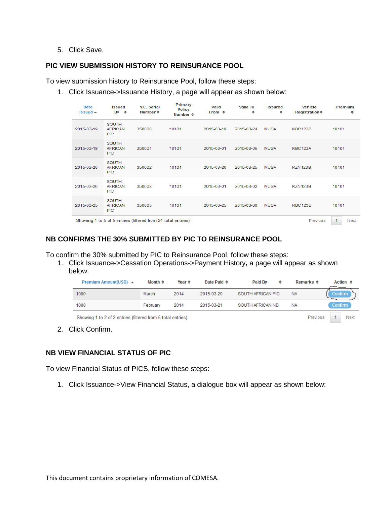#### 5. Click Save.

### **PIC VIEW SUBMISSION HISTORY TO REINSURANCE POOL**

To view submission history to Reinsurance Pool, follow these steps:

1. Click Issuance->Issuance History, a page will appear as shown below:

| Date<br>Issued $\triangle$ | <b>Issued</b><br>$\mathsf{B}\mathsf{v}$ $\div$ | Y.C. Serial<br>Number $\triangleq$                           | Primary<br><b>Policy</b><br>Number $\triangleq$ | <b>Valid</b><br>From $\div$ | <b>Valid To</b><br>÷ | <b>Issured</b><br>÷ | <b>Vehicle</b><br>Registration $\div$ | <b>Premium</b><br>÷          |
|----------------------------|------------------------------------------------|--------------------------------------------------------------|-------------------------------------------------|-----------------------------|----------------------|---------------------|---------------------------------------|------------------------------|
| 2015-03-19                 | <b>SOUTH</b><br><b>AFRICAN</b><br><b>PIC</b>   | 350000                                                       | 10101                                           | 2015-03-19                  | 2015-03-24           | <b>MUSA</b>         | <b>KBC123B</b>                        | 10101                        |
| 2015-03-19                 | <b>SOUTH</b><br><b>AFRICAN</b><br><b>PIC</b>   | 350001                                                       | 10101                                           | 2015-03-01                  | 2015-03-06           | <b>MUSA</b>         | <b>KBC123A</b>                        | 10101                        |
| 2015-03-20                 | <b>SOUTH</b><br><b>AFRICAN</b><br><b>PIC</b>   | 350002                                                       | 10101                                           | 2015-03-20                  | 2015-03-25           | <b>MUSA</b>         | <b>KZN123B</b>                        | 10101                        |
| 2015-03-20                 | <b>SOUTH</b><br><b>AFRICAN</b><br><b>PIC</b>   | 350003                                                       | 10101                                           | 2015-03-01                  | 2015-03-02           | <b>MUSA</b>         | <b>KZN123B</b>                        | 10101                        |
| 2015-03-25                 | <b>SOUTH</b><br><b>AFRICAN</b><br><b>PIC</b>   | 350005                                                       | 10101                                           | 2015-03-25                  | 2015-03-30           | <b>MUSA</b>         | <b>KBC123B</b>                        | 10101                        |
|                            |                                                | Showing 1 to 5 of 5 entries (filtered from 24 total entries) |                                                 |                             |                      |                     | Previous                              | $\blacktriangleleft$<br>Next |

### **NB CONFIRMS THE 30% SUBMITTED BY PIC TO REINSURANCE POOL**

To confirm the 30% submitted by PIC to Reinsurance Pool, follow these steps:

1. Click Issuance->Cessation Operations->Payment History**,** a page will appear as shown below:

| <b>Premium Amount(USD)</b> ▲                                | Month $\div$ | Year $\triangleq$ | Date Paid $\div$ | Paid By           | ٠ | Remarks $\Leftrightarrow$ | Action $\div$  |
|-------------------------------------------------------------|--------------|-------------------|------------------|-------------------|---|---------------------------|----------------|
| 1000                                                        | March        | 2014              | 2015-03-20       | SOUTH AFRICAN PIC |   | <b>NA</b>                 | <b>Confirm</b> |
| 1000                                                        | February     | 2014              | 2015-03-21       | SOUTH AFRICAN NB  |   | <b>NA</b>                 | <b>Confirm</b> |
| Showing 1 to 2 of 2 entries (filtered from 5 total entries) |              |                   |                  |                   |   | Previous                  | Next           |

2. Click Confirm.

### **NB VIEW FINANCIAL STATUS OF PIC**

To view Financial Status of PICS, follow these steps:

1. Click Issuance->View Financial Status, a dialogue box will appear as shown below: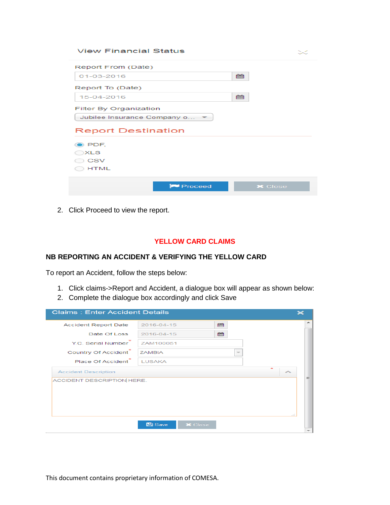#### **View Financial Status**

| Report From (Date)          |    |
|-----------------------------|----|
| 01-03-2016                  | ■■ |
| Report To (Date)            |    |
| 15-04-2016                  | ⊯  |
| Filter By Organization      |    |
| Jubilee Insurance Company o |    |
| <b>Report Destination</b>   |    |
|                             |    |
| D PDF.                      |    |
| ∋XLS                        |    |
| <b>CSV</b>                  |    |
| <b>HTML</b>                 |    |
|                             |    |

2. Click Proceed to view the report.

#### **YELLOW CARD CLAIMS**

## **NB REPORTING AN ACCIDENT & VERIFYING THE YELLOW CARD**

To report an Accident, follow the steps below:

- 1. Click claims->Report and Accident, a dialogue box will appear as shown below:
- 2. Complete the dialogue box accordingly and click Save

| <b>Claims: Enter Accident Details</b> |                                           |     |
|---------------------------------------|-------------------------------------------|-----|
| <b>Accident Report Date</b>           | 鯩<br>2016-04-15                           |     |
| Date Of Loss                          | 雦<br>2016-04-15                           |     |
| Y.C. Serial Number                    | ZAM100051                                 |     |
| <b>Country Of Accident</b>            | <b>ZAMBIA</b><br>$\overline{\phantom{a}}$ |     |
| Place Of Accident                     | <b>LUSAKA</b>                             |     |
| <b>Accident Description</b>           | $\mathcal{R}^{\star}$<br>∼                |     |
| ACCIDENT DESCRIPTION HERE.            |                                           | Ξ   |
|                                       | <b>B</b> Save<br><b>X</b> Close           | 111 |